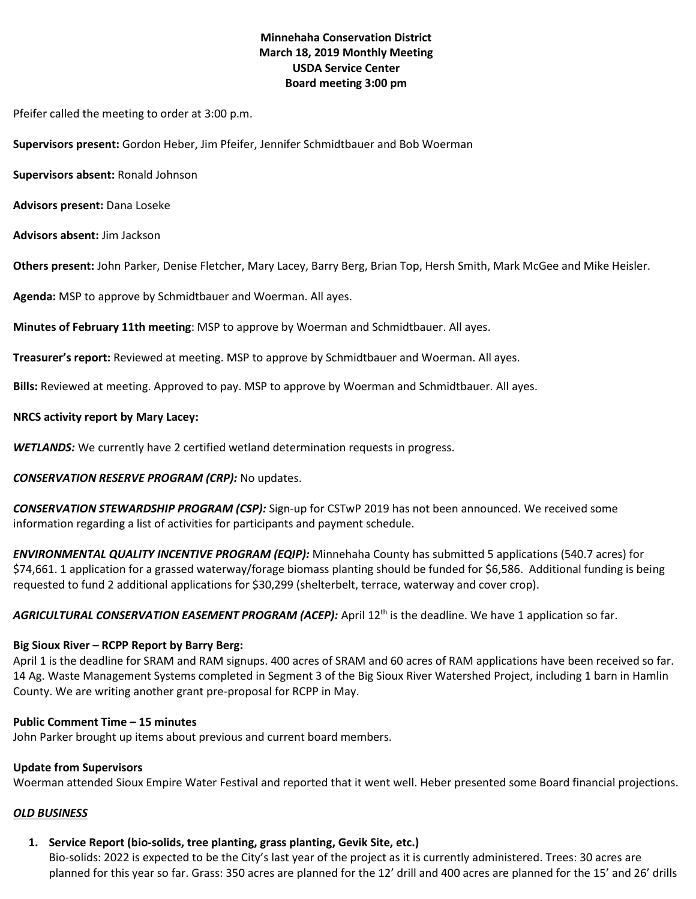# **Minnehaha Conservation District March 18, 2019 Monthly Meeting USDA Service Center Board meeting 3:00 pm**

Pfeifer called the meeting to order at 3:00 p.m.

**Supervisors present:** Gordon Heber, Jim Pfeifer, Jennifer Schmidtbauer and Bob Woerman

**Supervisors absent:** Ronald Johnson

**Advisors present:** Dana Loseke

**Advisors absent:** Jim Jackson

**Others present:** John Parker, Denise Fletcher, Mary Lacey, Barry Berg, Brian Top, Hersh Smith, Mark McGee and Mike Heisler.

**Agenda:** MSP to approve by Schmidtbauer and Woerman. All ayes.

**Minutes of February 11th meeting**: MSP to approve by Woerman and Schmidtbauer. All ayes.

**Treasurer's report:** Reviewed at meeting. MSP to approve by Schmidtbauer and Woerman. All ayes.

**Bills:** Reviewed at meeting. Approved to pay. MSP to approve by Woerman and Schmidtbauer. All ayes.

#### **NRCS activity report by Mary Lacey:**

*WETLANDS:* We currently have 2 certified wetland determination requests in progress.

# *CONSERVATION RESERVE PROGRAM (CRP):* No updates.

*CONSERVATION STEWARDSHIP PROGRAM (CSP):* Sign-up for CSTwP 2019 has not been announced. We received some information regarding a list of activities for participants and payment schedule.

*ENVIRONMENTAL QUALITY INCENTIVE PROGRAM (EQIP):* Minnehaha County has submitted 5 applications (540.7 acres) for \$74,661. 1 application for a grassed waterway/forage biomass planting should be funded for \$6,586. Additional funding is being requested to fund 2 additional applications for \$30,299 (shelterbelt, terrace, waterway and cover crop).

AGRICULTURAL CONSERVATION EASEMENT PROGRAM (ACEP): April 12<sup>th</sup> is the deadline. We have 1 application so far.

# **Big Sioux River – RCPP Report by Barry Berg:**

April 1 is the deadline for SRAM and RAM signups. 400 acres of SRAM and 60 acres of RAM applications have been received so far. 14 Ag. Waste Management Systems completed in Segment 3 of the Big Sioux River Watershed Project, including 1 barn in Hamlin County. We are writing another grant pre-proposal for RCPP in May.

#### **Public Comment Time – 15 minutes**

John Parker brought up items about previous and current board members.

# **Update from Supervisors**

Woerman attended Sioux Empire Water Festival and reported that it went well. Heber presented some Board financial projections.

# *OLD BUSINESS*

# **1. Service Report (bio-solids, tree planting, grass planting, Gevik Site, etc.)**

Bio-solids: 2022 is expected to be the City's last year of the project as it is currently administered. Trees: 30 acres are planned for this year so far. Grass: 350 acres are planned for the 12' drill and 400 acres are planned for the 15' and 26' drills